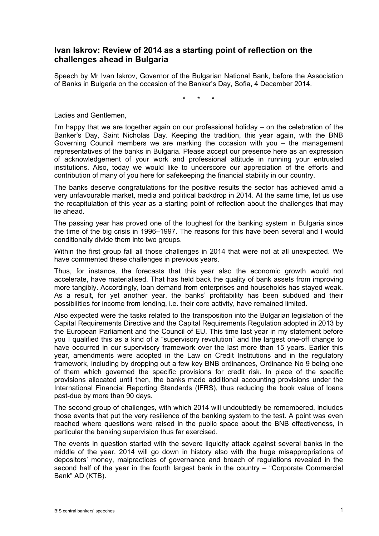## **Ivan Iskrov: Review of 2014 as a starting point of reflection on the challenges ahead in Bulgaria**

Speech by Mr Ivan Iskrov, Governor of the Bulgarian National Bank, before the Association of Banks in Bulgaria on the occasion of the Banker's Day, Sofia, 4 December 2014.

\* \* \*

Ladies and Gentlemen,

I'm happy that we are together again on our professional holiday – on the celebration of the Banker's Day, Saint Nicholas Day. Keeping the tradition, this year again, with the BNB Governing Council members we are marking the occasion with you – the management representatives of the banks in Bulgaria. Please accept our presence here as an expression of acknowledgement of your work and professional attitude in running your entrusted institutions. Also, today we would like to underscore our appreciation of the efforts and contribution of many of you here for safekeeping the financial stability in our country.

The banks deserve congratulations for the positive results the sector has achieved amid a very unfavourable market, media and political backdrop in 2014. At the same time, let us use the recapitulation of this year as a starting point of reflection about the challenges that may lie ahead.

The passing year has proved one of the toughest for the banking system in Bulgaria since the time of the big crisis in 1996–1997. The reasons for this have been several and I would conditionally divide them into two groups.

Within the first group fall all those challenges in 2014 that were not at all unexpected. We have commented these challenges in previous years.

Thus, for instance, the forecasts that this year also the economic growth would not accelerate, have materialised. That has held back the quality of bank assets from improving more tangibly. Accordingly, loan demand from enterprises and households has stayed weak. As a result, for yet another year, the banks' profitability has been subdued and their possibilities for income from lending, i.e. their core activity, have remained limited.

Also expected were the tasks related to the transposition into the Bulgarian legislation of the Capital Requirements Directive and the Capital Requirements Regulation adopted in 2013 by the European Parliament and the Council of EU. This time last year in my statement before you I qualified this as a kind of a "supervisory revolution" and the largest one-off change to have occurred in our supervisory framework over the last more than 15 years. Earlier this year, amendments were adopted in the Law on Credit Institutions and in the regulatory framework, including by dropping out a few key BNB ordinances, Ordinance No 9 being one of them which governed the specific provisions for credit risk. In place of the specific provisions allocated until then, the banks made additional accounting provisions under the International Financial Reporting Standards (IFRS), thus reducing the book value of loans past-due by more than 90 days.

The second group of challenges, with which 2014 will undoubtedly be remembered, includes those events that put the very resilience of the banking system to the test. A point was even reached where questions were raised in the public space about the BNB effectiveness, in particular the banking supervision thus far exercised.

The events in question started with the severe liquidity attack against several banks in the middle of the year. 2014 will go down in history also with the huge misappropriations of depositors' money, malpractices of governance and breach of regulations revealed in the second half of the year in the fourth largest bank in the country – "Corporate Commercial Bank" AD (KTB).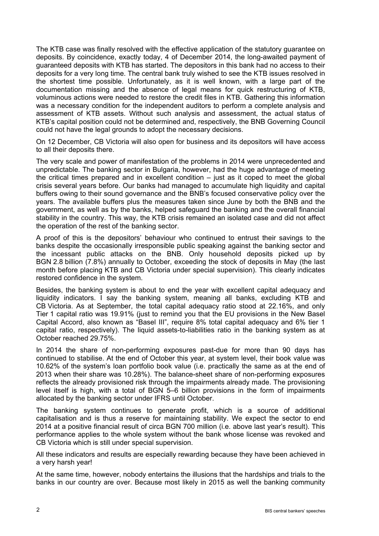The KTB case was finally resolved with the effective application of the statutory guarantee on deposits. By coincidence, exactly today, 4 of December 2014, the long-awaited payment of guaranteed deposits with KTB has started. The depositors in this bank had no access to their deposits for a very long time. The central bank truly wished to see the KTB issues resolved in the shortest time possible. Unfortunately, as it is well known, with a large part of the documentation missing and the absence of legal means for quick restructuring of KTB, voluminous actions were needed to restore the credit files in KTB. Gathering this information was a necessary condition for the independent auditors to perform a complete analysis and assessment of KTB assets. Without such analysis and assessment, the actual status of KTB's capital position could not be determined and, respectively, the BNB Governing Council could not have the legal grounds to adopt the necessary decisions.

On 12 December, CB Victoria will also open for business and its depositors will have access to all their deposits there.

The very scale and power of manifestation of the problems in 2014 were unprecedented and unpredictable. The banking sector in Bulgaria, however, had the huge advantage of meeting the critical times prepared and in excellent condition – just as it coped to meet the global crisis several years before. Our banks had managed to accumulate high liquidity and capital buffers owing to their sound governance and the BNB's focused conservative policy over the years. The available buffers plus the measures taken since June by both the BNB and the government, as well as by the banks, helped safeguard the banking and the overall financial stability in the country. This way, the KTB crisis remained an isolated case and did not affect the operation of the rest of the banking sector.

A proof of this is the depositors' behaviour who continued to entrust their savings to the banks despite the occasionally irresponsible public speaking against the banking sector and the incessant public attacks on the BNB. Only household deposits picked up by BGN 2.8 billion (7.8%) annually to October, exceeding the stock of deposits in May (the last month before placing KTB and CB Victoria under special supervision). This clearly indicates restored confidence in the system.

Besides, the banking system is about to end the year with excellent capital adequacy and liquidity indicators. I say the banking system, meaning all banks, excluding KTB and CB Victoria. As at September, the total capital adequacy ratio stood at 22.16%, and only Tier 1 capital ratio was 19.91% (just to remind you that the EU provisions in the New Basel Capital Accord, also known as "Basel III", require 8% total capital adequacy and 6% tier 1 capital ratio, respectively). The liquid assets-to-liabilities ratio in the banking system as at October reached 29.75%.

In 2014 the share of non-performing exposures past-due for more than 90 days has continued to stabilise. At the end of October this year, at system level, their book value was 10.62% of the system's loan portfolio book value (i.e. practically the same as at the end of 2013 when their share was 10.28%). The balance-sheet share of non-performing exposures reflects the already provisioned risk through the impairments already made. The provisioning level itself is high, with a total of BGN 5–6 billion provisions in the form of impairments allocated by the banking sector under IFRS until October.

The banking system continues to generate profit, which is a source of additional capitalisation and is thus a reserve for maintaining stability. We expect the sector to end 2014 at a positive financial result of circa BGN 700 million (i.e. above last year's result). This performance applies to the whole system without the bank whose license was revoked and CB Victoria which is still under special supervision.

All these indicators and results are especially rewarding because they have been achieved in a very harsh year!

At the same time, however, nobody entertains the illusions that the hardships and trials to the banks in our country are over. Because most likely in 2015 as well the banking community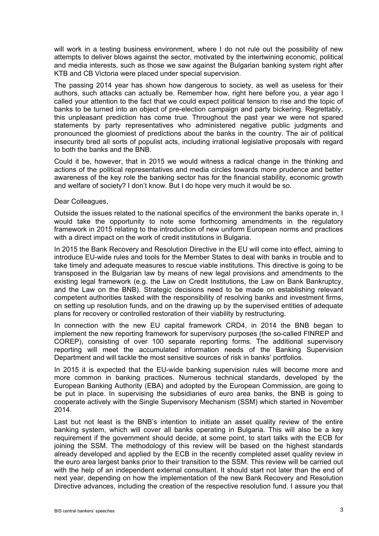will work in a testing business environment, where I do not rule out the possibility of new attempts to deliver blows against the sector, motivated by the intertwining economic, political and media interests, such as those we saw against the Bulgarian banking system right after KTB and CB Victoria were placed under special supervision.

The passing 2014 year has shown how dangerous to society, as well as useless for their authors, such attacks can actually be. Remember how, right here before you, a year ago I called your attention to the fact that we could expect political tension to rise and the topic of banks to be turned into an object of pre-election campaign and party bickering. Regrettably, this unpleasant prediction has come true. Throughout the past year we were not spared statements by party representatives who administered negative public judgments and pronounced the gloomiest of predictions about the banks in the country. The air of political insecurity bred all sorts of populist acts, including irrational legislative proposals with regard to both the banks and the BNB.

Could it be, however, that in 2015 we would witness a radical change in the thinking and actions of the political representatives and media circles towards more prudence and better awareness of the key role the banking sector has for the financial stability, economic growth and welfare of society? I don't know. But I do hope very much it would be so.

## Dear Colleagues,

Outside the issues related to the national specifics of the environment the banks operate in, I would take the opportunity to note some forthcoming amendments in the regulatory framework in 2015 relating to the introduction of new uniform European norms and practices with a direct impact on the work of credit institutions in Bulgaria.

In 2015 the Bank Recovery and Resolution Directive in the EU will come into effect, aiming to introduce EU-wide rules and tools for the Member States to deal with banks in trouble and to take timely and adequate measures to rescue viable institutions. This directive is going to be transposed in the Bulgarian law by means of new legal provisions and amendments to the existing legal framework (e.g. the Law on Credit Institutions, the Law on Bank Bankruptcy, and the Law on the BNB). Strategic decisions need to be made on establishing relevant competent authorities tasked with the responsibility of resolving banks and investment firms, on setting up resolution funds, and on the drawing up by the supervised entities of adequate plans for recovery or controlled restoration of their viability by restructuring.

In connection with the new EU capital framework CRD4, in 2014 the BNB began to implement the new reporting framework for supervisory purposes (the so-called FINREP and COREP), consisting of over 100 separate reporting forms. The additional supervisory reporting will meet the accumulated information needs of the Banking Supervision Department and will tackle the most sensitive sources of risk in banks' portfolios.

In 2015 it is expected that the EU-wide banking supervision rules will become more and more common in banking practices. Numerous technical standards, developed by the European Banking Authority (EBA) and adopted by the European Commission, are going to be put in place. In supervising the subsidiaries of euro area banks, the BNB is going to cooperate actively with the Single Supervisory Mechanism (SSM) which started in November 2014.

Last but not least is the BNB's intention to initiate an asset quality review of the entire banking system, which will cover all banks operating in Bulgaria. This will also be a key requirement if the government should decide, at some point, to start talks with the ECB for joining the SSM. The methodology of this review will be based on the highest standards already developed and applied by the ECB in the recently completed asset quality review in the euro area largest banks prior to their transition to the SSM. This review will be carried out with the help of an independent external consultant. It should start not later than the end of next year, depending on how the implementation of the new Bank Recovery and Resolution Directive advances, including the creation of the respective resolution fund. I assure you that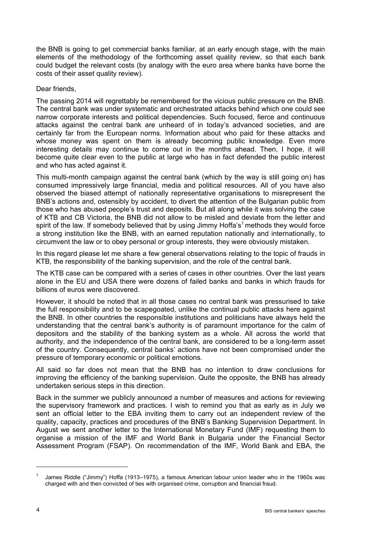the BNB is going to get commercial banks familiar, at an early enough stage, with the main elements of the methodology of the forthcoming asset quality review, so that each bank could budget the relevant costs (by analogy with the euro area where banks have borne the costs of their asset quality review).

## Dear friends,

The passing 2014 will regrettably be remembered for the vicious public pressure on the BNB. The central bank was under systematic and orchestrated attacks behind which one could see narrow corporate interests and political dependencies. Such focused, fierce and continuous attacks against the central bank are unheard of in today's advanced societies, and are certainly far from the European norms. Information about who paid for these attacks and whose money was spent on them is already becoming public knowledge. Even more interesting details may continue to come out in the months ahead. Then, I hope, it will become quite clear even to the public at large who has in fact defended the public interest and who has acted against it.

This multi-month campaign against the central bank (which by the way is still going on) has consumed impressively large financial, media and political resources. All of you have also observed the biased attempt of nationally representative organisations to misrepresent the BNB's actions and, ostensibly by accident, to divert the attention of the Bulgarian public from those who has abused people's trust and deposits. But all along while it was solving the case of KTB and CB Victoria, the BNB did not allow to be misled and deviate from the letter and spirit of the law. If somebody believed that by using Jimmy Hoffa's<sup>1</sup> methods they would force a strong institution like the BNB, with an earned reputation nationally and internationally, to circumvent the law or to obey personal or group interests, they were obviously mistaken.

In this regard please let me share a few general observations relating to the topic of frauds in KTB, the responsibility of the banking supervision, and the role of the central bank.

The KTB case can be compared with a series of cases in other countries. Over the last years alone in the EU and USA there were dozens of failed banks and banks in which frauds for billions of euros were discovered.

However, it should be noted that in all those cases no central bank was pressurised to take the full responsibility and to be scapegoated, unlike the continual public attacks here against the BNB. In other countries the responsible institutions and politicians have always held the understanding that the central bank's authority is of paramount importance for the calm of depositors and the stability of the banking system as a whole. All across the world that authority, and the independence of the central bank, are considered to be a long-term asset of the country. Consequently, central banks' actions have not been compromised under the pressure of temporary economic or political emotions.

All said so far does not mean that the BNB has no intention to draw conclusions for improving the efficiency of the banking supervision. Quite the opposite, the BNB has already undertaken serious steps in this direction.

Back in the summer we publicly announced a number of measures and actions for reviewing the supervisory framework and practices. I wish to remind you that as early as in July we sent an official letter to the EBA inviting them to carry out an independent review of the quality, capacity, practices and procedures of the BNB's Banking Supervision Department. In August we sent another letter to the International Monetary Fund (IMF) requesting them to organise a mission of the IMF and World Bank in Bulgaria under the Financial Sector Assessment Program (FSAP). On recommendation of the IMF, World Bank and EBA, the

<sup>1</sup> James Riddle ("Jimmy") Hoffa (1913–1975), a famous American labour union leader who in the 1960s was charged with and then convicted of ties with organised crime, corruption and financial fraud.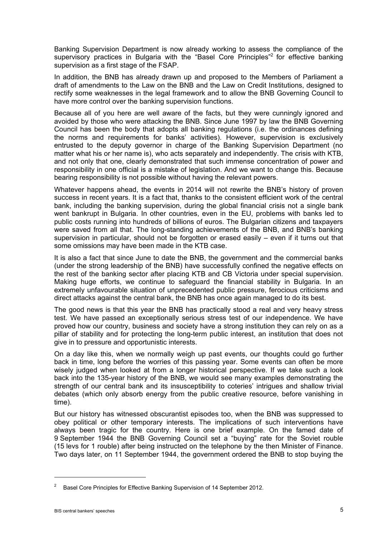Banking Supervision Department is now already working to assess the compliance of the supervisory practices in Bulgaria with the "Basel Core Principles"<sup>2</sup> for effective banking supervision as a first stage of the FSAP.

In addition, the BNB has already drawn up and proposed to the Members of Parliament a draft of amendments to the Law on the BNB and the Law on Credit Institutions, designed to rectify some weaknesses in the legal framework and to allow the BNB Governing Council to have more control over the banking supervision functions.

Because all of you here are well aware of the facts, but they were cunningly ignored and avoided by those who were attacking the BNB. Since June 1997 by law the BNB Governing Council has been the body that adopts all banking regulations (i.e. the ordinances defining the norms and requirements for banks' activities). However, supervision is exclusively entrusted to the deputy governor in charge of the Banking Supervision Department (no matter what his or her name is), who acts separately and independently. The crisis with KTB, and not only that one, clearly demonstrated that such immense concentration of power and responsibility in one official is a mistake of legislation. And we want to change this. Because bearing responsibility is not possible without having the relevant powers.

Whatever happens ahead, the events in 2014 will not rewrite the BNB's history of proven success in recent years. It is a fact that, thanks to the consistent efficient work of the central bank, including the banking supervision, during the global financial crisis not a single bank went bankrupt in Bulgaria. In other countries, even in the EU, problems with banks led to public costs running into hundreds of billions of euros. The Bulgarian citizens and taxpayers were saved from all that. The long-standing achievements of the BNB, and BNB's banking supervision in particular, should not be forgotten or erased easily – even if it turns out that some omissions may have been made in the KTB case.

It is also a fact that since June to date the BNB, the government and the commercial banks (under the strong leadership of the BNB) have successfully confined the negative effects on the rest of the banking sector after placing KTB and CB Victoria under special supervision. Making huge efforts, we continue to safeguard the financial stability in Bulgaria. In an extremely unfavourable situation of unprecedented public pressure, ferocious criticisms and direct attacks against the central bank, the BNB has once again managed to do its best.

The good news is that this year the BNB has practically stood a real and very heavy stress test. We have passed an exceptionally serious stress test of our independence. We have proved how our country, business and society have a strong institution they can rely on as a pillar of stability and for protecting the long-term public interest, an institution that does not give in to pressure and opportunistic interests.

On a day like this, when we normally weigh up past events, our thoughts could go further back in time, long before the worries of this passing year. Some events can often be more wisely judged when looked at from a longer historical perspective. If we take such a look back into the 135-year history of the BNB, we would see many examples demonstrating the strength of our central bank and its insusceptibility to coteries' intrigues and shallow trivial debates (which only absorb energy from the public creative resource, before vanishing in time).

But our history has witnessed obscurantist episodes too, when the BNB was suppressed to obey political or other temporary interests. The implications of such interventions have always been tragic for the country. Here is one brief example. On the famed date of 9 September 1944 the BNB Governing Council set a "buying" rate for the Soviet rouble (15 levs for 1 rouble) after being instructed on the telephone by the then Minister of Finance. Two days later, on 11 September 1944, the government ordered the BNB to stop buying the

 $\overline{a}$ 

<sup>2</sup> Basel Core Principles for Effective Banking Supervision of 14 September 2012.